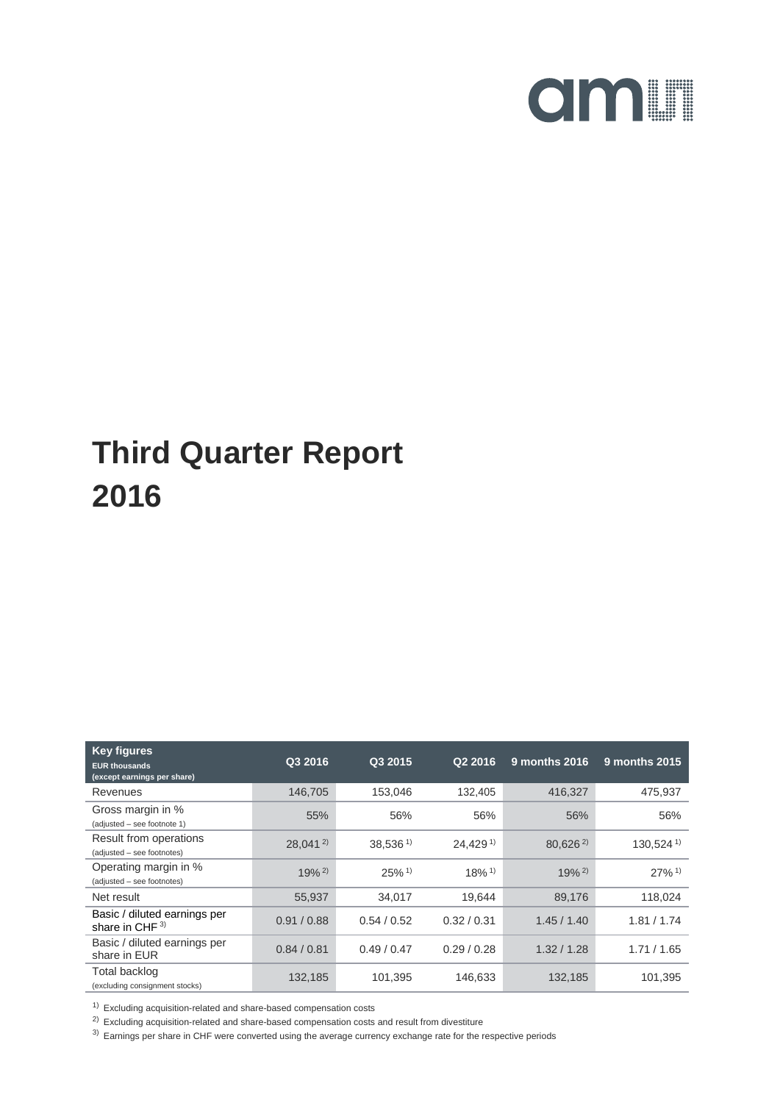

| <b>Key figures</b><br><b>EUR thousands</b><br>(except earnings per share) | Q3 2016      | Q3 2015             | Q2 2016              | 9 months 2016        | 9 months 2015           |
|---------------------------------------------------------------------------|--------------|---------------------|----------------------|----------------------|-------------------------|
| Revenues                                                                  | 146,705      | 153,046             | 132,405              | 416,327              | 475,937                 |
| Gross margin in %<br>(adjusted - see footnote 1)                          | 55%          | 56%                 | 56%                  | 56%                  | 56%                     |
| Result from operations<br>(adjusted - see footnotes)                      | $28.041^{2}$ | $38.536^{1}$        | 24.429 <sup>1</sup>  | $80.626^{2}$         | $130.524$ <sup>1)</sup> |
| Operating margin in %<br>(adjusted - see footnotes)                       | $19%^{2}$    | $25%$ <sup>1)</sup> | $18\%$ <sup>1)</sup> | $19\%$ <sup>2)</sup> | $27\%$ <sup>1)</sup>    |
| Net result                                                                | 55,937       | 34,017              | 19.644               | 89,176               | 118,024                 |
| Basic / diluted earnings per<br>share in CHF $3)$                         | 0.91 / 0.88  | 0.54/0.52           | 0.32 / 0.31          | 1.45/1.40            | 1.81 / 1.74             |
| Basic / diluted earnings per<br>share in EUR                              | 0.84 / 0.81  | 0.49/0.47           | 0.29/0.28            | 1.32/1.28            | 1.71/1.65               |
| <b>Total backlog</b><br>(excluding consignment stocks)                    | 132,185      | 101,395             | 146,633              | 132,185              | 101,395                 |

 $1)$  Excluding acquisition-related and share-based compensation costs

 $^{2)}$  Excluding acquisition-related and share-based compensation costs and result from divestiture

<sup>3)</sup> Earnings per share in CHF were converted using the average currency exchange rate for the respective periods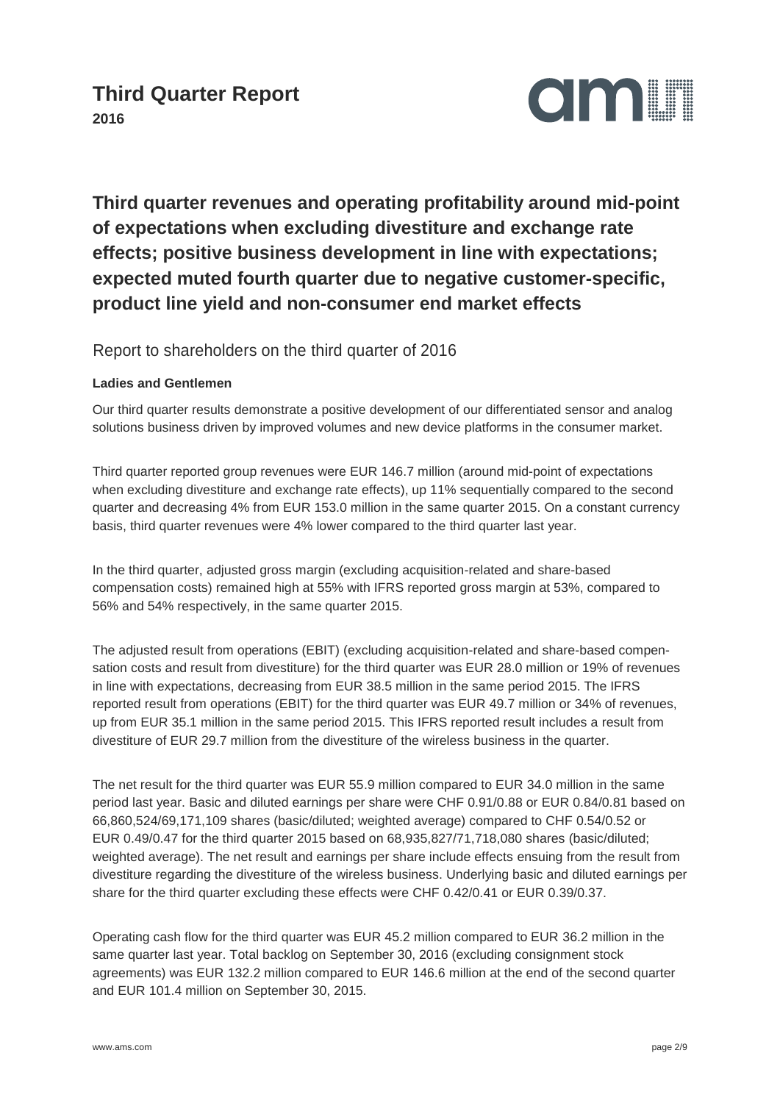

**Third quarter revenues and operating profitability around mid-point of expectations when excluding divestiture and exchange rate effects; positive business development in line with expectations; expected muted fourth quarter due to negative customer-specific, product line yield and non-consumer end market effects**

Report to shareholders on the third quarter of 2016

#### **Ladies and Gentlemen**

Our third quarter results demonstrate a positive development of our differentiated sensor and analog solutions business driven by improved volumes and new device platforms in the consumer market.

Third quarter reported group revenues were EUR 146.7 million (around mid-point of expectations when excluding divestiture and exchange rate effects), up 11% sequentially compared to the second quarter and decreasing 4% from EUR 153.0 million in the same quarter 2015. On a constant currency basis, third quarter revenues were 4% lower compared to the third quarter last year.

In the third quarter, adjusted gross margin (excluding acquisition-related and share-based compensation costs) remained high at 55% with IFRS reported gross margin at 53%, compared to 56% and 54% respectively, in the same quarter 2015.

The adjusted result from operations (EBIT) (excluding acquisition-related and share-based compensation costs and result from divestiture) for the third quarter was EUR 28.0 million or 19% of revenues in line with expectations, decreasing from EUR 38.5 million in the same period 2015. The IFRS reported result from operations (EBIT) for the third quarter was EUR 49.7 million or 34% of revenues, up from EUR 35.1 million in the same period 2015. This IFRS reported result includes a result from divestiture of EUR 29.7 million from the divestiture of the wireless business in the quarter.

The net result for the third quarter was EUR 55.9 million compared to EUR 34.0 million in the same period last year. Basic and diluted earnings per share were CHF 0.91/0.88 or EUR 0.84/0.81 based on 66,860,524/69,171,109 shares (basic/diluted; weighted average) compared to CHF 0.54/0.52 or EUR 0.49/0.47 for the third quarter 2015 based on 68,935,827/71,718,080 shares (basic/diluted; weighted average). The net result and earnings per share include effects ensuing from the result from divestiture regarding the divestiture of the wireless business. Underlying basic and diluted earnings per share for the third quarter excluding these effects were CHF 0.42/0.41 or EUR 0.39/0.37.

Operating cash flow for the third quarter was EUR 45.2 million compared to EUR 36.2 million in the same quarter last year. Total backlog on September 30, 2016 (excluding consignment stock agreements) was EUR 132.2 million compared to EUR 146.6 million at the end of the second quarter and EUR 101.4 million on September 30, 2015.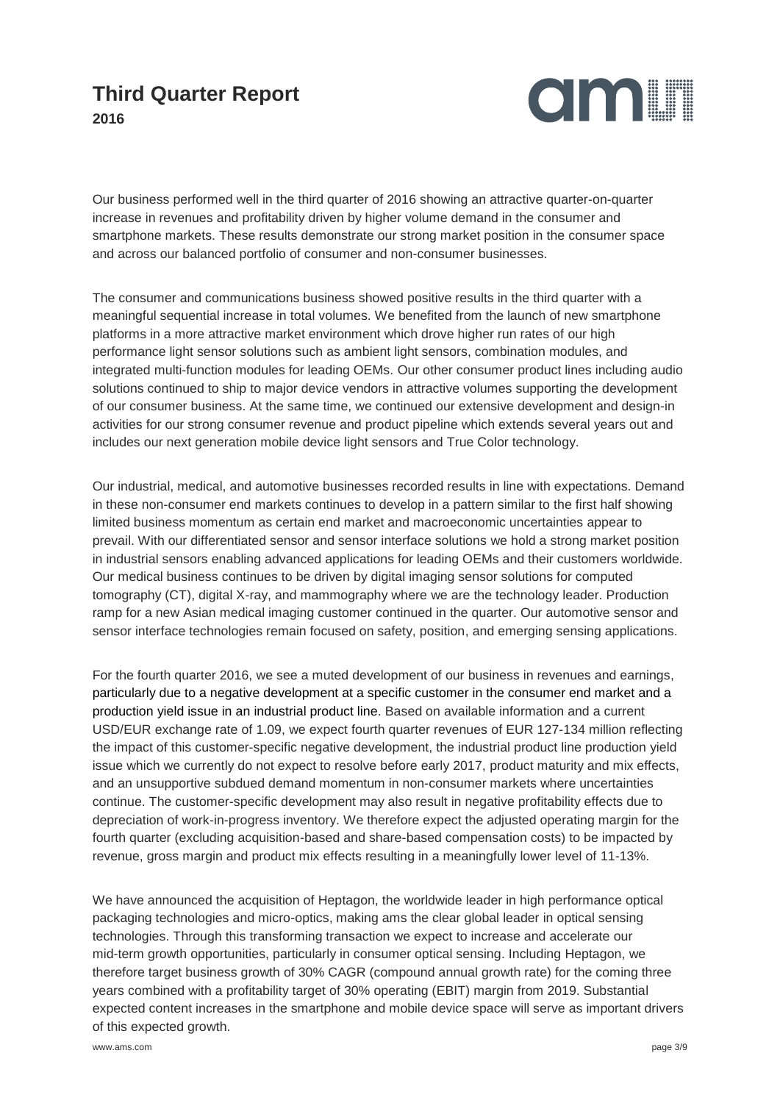

Our business performed well in the third quarter of 2016 showing an attractive quarter-on-quarter increase in revenues and profitability driven by higher volume demand in the consumer and smartphone markets. These results demonstrate our strong market position in the consumer space and across our balanced portfolio of consumer and non-consumer businesses.

The consumer and communications business showed positive results in the third quarter with a meaningful sequential increase in total volumes. We benefited from the launch of new smartphone platforms in a more attractive market environment which drove higher run rates of our high performance light sensor solutions such as ambient light sensors, combination modules, and integrated multi-function modules for leading OEMs. Our other consumer product lines including audio solutions continued to ship to major device vendors in attractive volumes supporting the development of our consumer business. At the same time, we continued our extensive development and design-in activities for our strong consumer revenue and product pipeline which extends several years out and includes our next generation mobile device light sensors and True Color technology.

Our industrial, medical, and automotive businesses recorded results in line with expectations. Demand in these non-consumer end markets continues to develop in a pattern similar to the first half showing limited business momentum as certain end market and macroeconomic uncertainties appear to prevail. With our differentiated sensor and sensor interface solutions we hold a strong market position in industrial sensors enabling advanced applications for leading OEMs and their customers worldwide. Our medical business continues to be driven by digital imaging sensor solutions for computed tomography (CT), digital X-ray, and mammography where we are the technology leader. Production ramp for a new Asian medical imaging customer continued in the quarter. Our automotive sensor and sensor interface technologies remain focused on safety, position, and emerging sensing applications.

For the fourth quarter 2016, we see a muted development of our business in revenues and earnings, particularly due to a negative development at a specific customer in the consumer end market and a production yield issue in an industrial product line. Based on available information and a current USD/EUR exchange rate of 1.09, we expect fourth quarter revenues of EUR 127-134 million reflecting the impact of this customer-specific negative development, the industrial product line production yield issue which we currently do not expect to resolve before early 2017, product maturity and mix effects, and an unsupportive subdued demand momentum in non-consumer markets where uncertainties continue. The customer-specific development may also result in negative profitability effects due to depreciation of work-in-progress inventory. We therefore expect the adjusted operating margin for the fourth quarter (excluding acquisition-based and share-based compensation costs) to be impacted by revenue, gross margin and product mix effects resulting in a meaningfully lower level of 11-13%.

We have announced the acquisition of Heptagon, the worldwide leader in high performance optical packaging technologies and micro-optics, making ams the clear global leader in optical sensing technologies. Through this transforming transaction we expect to increase and accelerate our mid-term growth opportunities, particularly in consumer optical sensing. Including Heptagon, we therefore target business growth of 30% CAGR (compound annual growth rate) for the coming three years combined with a profitability target of 30% operating (EBIT) margin from 2019. Substantial expected content increases in the smartphone and mobile device space will serve as important drivers of this expected growth.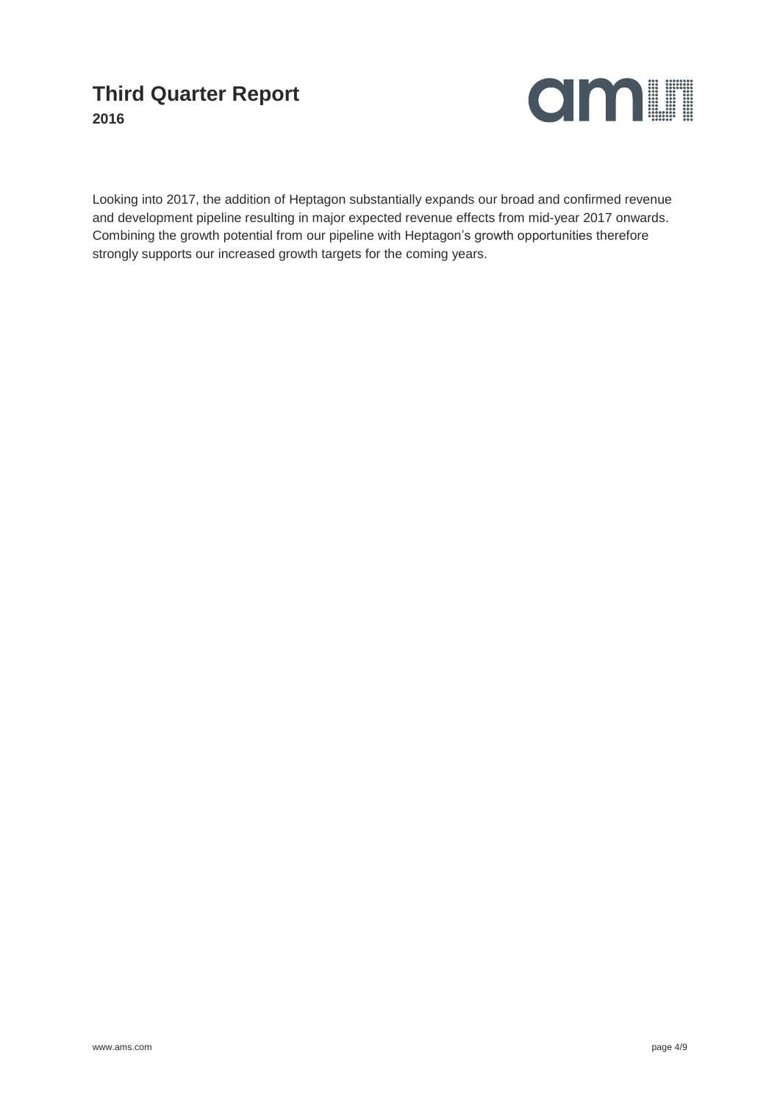

Looking into 2017, the addition of Heptagon substantially expands our broad and confirmed revenue and development pipeline resulting in major expected revenue effects from mid-year 2017 onwards. Combining the growth potential from our pipeline with Heptagon's growth opportunities therefore strongly supports our increased growth targets for the coming years.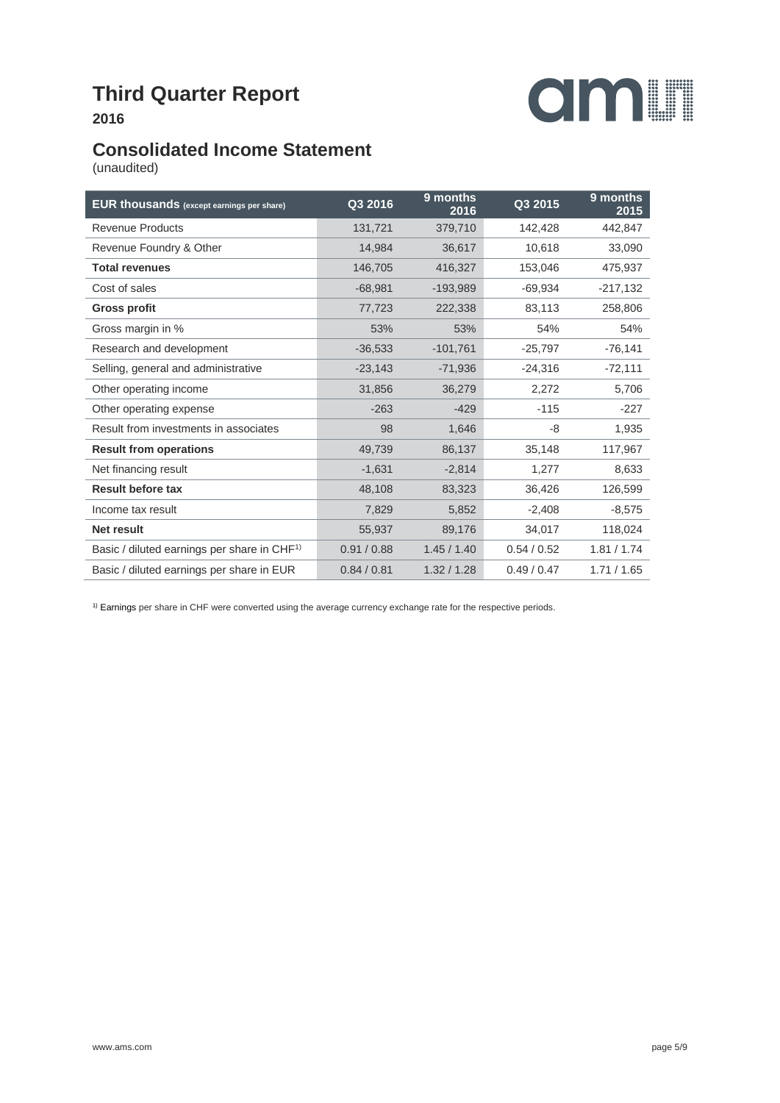

### **Consolidated Income Statement**

(unaudited)

| <b>EUR thousands</b> (except earnings per share)        | Q3 2016     | 9 months<br>2016 | Q3 2015   | 9 months<br>2015 |
|---------------------------------------------------------|-------------|------------------|-----------|------------------|
| <b>Revenue Products</b>                                 | 131,721     | 379,710          | 142,428   | 442,847          |
| Revenue Foundry & Other                                 | 14,984      | 36,617           | 10,618    | 33,090           |
| <b>Total revenues</b>                                   | 146,705     | 416,327          | 153,046   | 475,937          |
| Cost of sales                                           | $-68,981$   | $-193,989$       | $-69,934$ | $-217,132$       |
| <b>Gross profit</b>                                     | 77,723      | 222,338          | 83,113    | 258,806          |
| Gross margin in %                                       | 53%         | 53%              | 54%       | 54%              |
| Research and development                                | $-36,533$   | $-101,761$       | $-25,797$ | $-76,141$        |
| Selling, general and administrative                     | $-23,143$   | $-71,936$        | $-24,316$ | $-72,111$        |
| Other operating income                                  | 31,856      | 36,279           | 2,272     | 5,706            |
| Other operating expense                                 | $-263$      | $-429$           | $-115$    | $-227$           |
| Result from investments in associates                   | 98          | 1,646            | -8        | 1,935            |
| <b>Result from operations</b>                           | 49,739      | 86,137           | 35,148    | 117,967          |
| Net financing result                                    | $-1,631$    | $-2,814$         | 1,277     | 8,633            |
| <b>Result before tax</b>                                | 48,108      | 83,323           | 36,426    | 126,599          |
| Income tax result                                       | 7,829       | 5,852            | $-2,408$  | $-8,575$         |
| Net result                                              | 55,937      | 89,176           | 34,017    | 118,024          |
| Basic / diluted earnings per share in CHF <sup>1)</sup> | 0.91 / 0.88 | 1.45/1.40        | 0.54/0.52 | 1.81 / 1.74      |
| Basic / diluted earnings per share in EUR               | 0.84 / 0.81 | 1.32 / 1.28      | 0.49/0.47 | 1.71/1.65        |

<sup>1)</sup> Earnings per share in CHF were converted using the average currency exchange rate for the respective periods.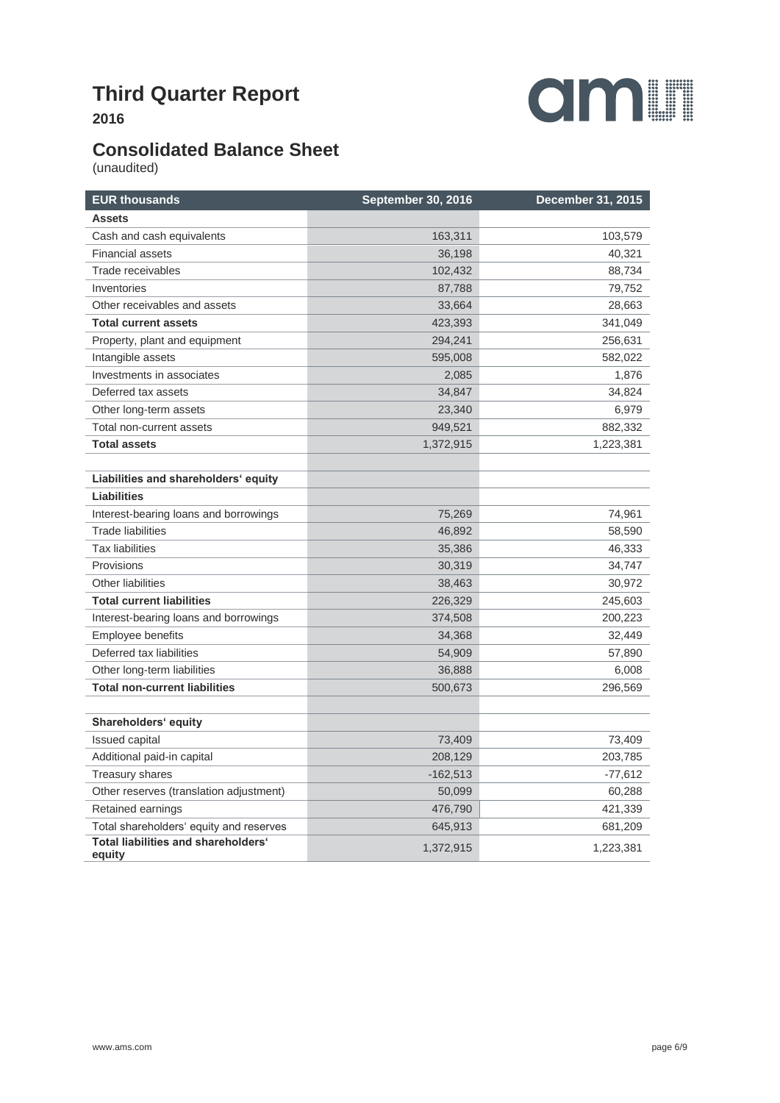

# **Consolidated Balance Sheet**

(unaudited)

| <b>EUR thousands</b>                          | September 30, 2016 | <b>December 31, 2015</b> |
|-----------------------------------------------|--------------------|--------------------------|
| <b>Assets</b>                                 |                    |                          |
| Cash and cash equivalents                     | 163,311            | 103,579                  |
| <b>Financial assets</b>                       | 36,198             | 40,321                   |
| Trade receivables                             | 102,432            | 88,734                   |
| Inventories                                   | 87,788             | 79,752                   |
| Other receivables and assets                  | 33,664             | 28,663                   |
| <b>Total current assets</b>                   | 423,393            | 341,049                  |
| Property, plant and equipment                 | 294,241            | 256,631                  |
| Intangible assets                             | 595,008            | 582,022                  |
| Investments in associates                     | 2,085              | 1,876                    |
| Deferred tax assets                           | 34,847             | 34,824                   |
| Other long-term assets                        | 23,340             | 6,979                    |
| Total non-current assets                      | 949,521            | 882,332                  |
| <b>Total assets</b>                           | 1,372,915          | 1,223,381                |
|                                               |                    |                          |
| Liabilities and shareholders' equity          |                    |                          |
| Liabilities                                   |                    |                          |
| Interest-bearing loans and borrowings         | 75,269             | 74,961                   |
| <b>Trade liabilities</b>                      | 46,892             | 58,590                   |
| <b>Tax liabilities</b>                        | 35,386             | 46,333                   |
| Provisions                                    | 30,319             | 34,747                   |
| <b>Other liabilities</b>                      | 38,463             | 30,972                   |
| <b>Total current liabilities</b>              | 226,329            | 245,603                  |
| Interest-bearing loans and borrowings         | 374,508            | 200,223                  |
| <b>Employee benefits</b>                      | 34,368             | 32,449                   |
| Deferred tax liabilities                      | 54,909             | 57,890                   |
| Other long-term liabilities                   | 36,888             | 6,008                    |
| <b>Total non-current liabilities</b>          | 500,673            | 296,569                  |
|                                               |                    |                          |
| Shareholders' equity                          |                    |                          |
| Issued capital                                | 73,409             | 73,409                   |
| Additional paid-in capital                    | 208,129            | 203,785                  |
| <b>Treasury shares</b>                        | $-162,513$         | -77,612                  |
| Other reserves (translation adjustment)       | 50,099             | 60,288                   |
| Retained earnings                             | 476,790            | 421,339                  |
| Total shareholders' equity and reserves       | 645,913            | 681,209                  |
| Total liabilities and shareholders'<br>equity | 1,372,915          | 1,223,381                |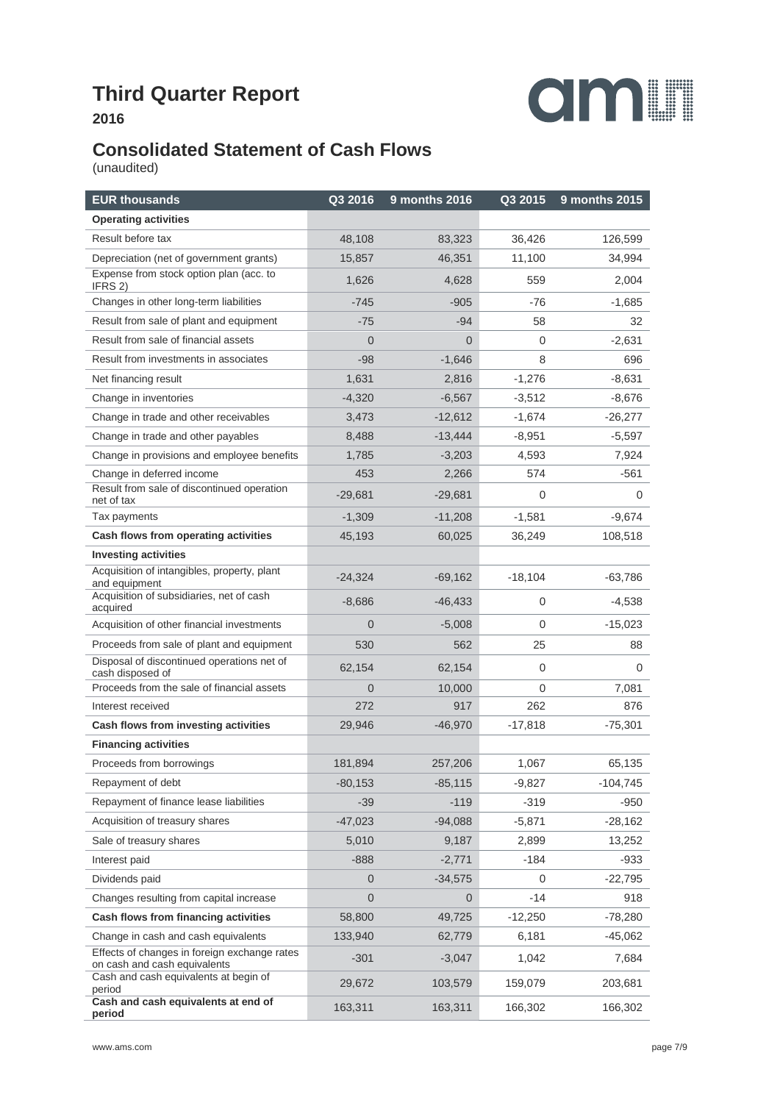

## **Consolidated Statement of Cash Flows**

(unaudited)

| <b>EUR thousands</b>                                                         | Q3 2016        | 9 months 2016 | Q3 2015     | 9 months 2015 |
|------------------------------------------------------------------------------|----------------|---------------|-------------|---------------|
| <b>Operating activities</b>                                                  |                |               |             |               |
| Result before tax                                                            | 48,108         | 83,323        | 36,426      | 126,599       |
| Depreciation (net of government grants)                                      | 15,857         | 46,351        | 11,100      | 34,994        |
| Expense from stock option plan (acc. to<br>IFRS 2)                           | 1,626          | 4,628         | 559         | 2,004         |
| Changes in other long-term liabilities                                       | $-745$         | $-905$        | -76         | $-1,685$      |
| Result from sale of plant and equipment                                      | $-75$          | $-94$         | 58          | 32            |
| Result from sale of financial assets                                         | $\Omega$       | $\Omega$      | 0           | $-2,631$      |
| Result from investments in associates                                        | $-98$          | $-1,646$      | 8           | 696           |
| Net financing result                                                         | 1,631          | 2,816         | $-1,276$    | $-8,631$      |
| Change in inventories                                                        | $-4,320$       | $-6,567$      | $-3,512$    | $-8,676$      |
| Change in trade and other receivables                                        | 3,473          | $-12,612$     | $-1,674$    | $-26,277$     |
| Change in trade and other payables                                           | 8,488          | $-13,444$     | $-8,951$    | -5,597        |
| Change in provisions and employee benefits                                   | 1,785          | $-3,203$      | 4,593       | 7,924         |
| Change in deferred income                                                    | 453            | 2,266         | 574         | $-561$        |
| Result from sale of discontinued operation<br>net of tax                     | $-29,681$      | $-29,681$     | 0           | 0             |
| Tax payments                                                                 | $-1,309$       | $-11,208$     | $-1,581$    | $-9,674$      |
| Cash flows from operating activities                                         | 45,193         | 60,025        | 36,249      | 108,518       |
| <b>Investing activities</b>                                                  |                |               |             |               |
| Acquisition of intangibles, property, plant<br>and equipment                 | $-24,324$      | $-69,162$     | $-18,104$   | $-63,786$     |
| Acquisition of subsidiaries, net of cash<br>acquired                         | $-8,686$       | $-46,433$     | 0           | $-4,538$      |
| Acquisition of other financial investments                                   | $\Omega$       | $-5,008$      | $\mathbf 0$ | $-15,023$     |
| Proceeds from sale of plant and equipment                                    | 530            | 562           | 25          | 88            |
| Disposal of discontinued operations net of<br>cash disposed of               | 62,154         | 62,154        | $\mathbf 0$ | 0             |
| Proceeds from the sale of financial assets                                   | $\Omega$       | 10,000        | 0           | 7,081         |
| Interest received                                                            | 272            | 917           | 262         | 876           |
| Cash flows from investing activities                                         | 29,946         | $-46,970$     | $-17,818$   | $-75,301$     |
| <b>Financing activities</b>                                                  |                |               |             |               |
| Proceeds from borrowings                                                     | 181,894        | 257,206       | 1,067       | 65,135        |
| Repayment of debt                                                            | $-80,153$      | $-85,115$     | $-9,827$    | $-104,745$    |
| Repayment of finance lease liabilities                                       | $-39$          | $-119$        | $-319$      | $-950$        |
| Acquisition of treasury shares                                               | $-47,023$      | $-94,088$     | $-5,871$    | $-28,162$     |
| Sale of treasury shares                                                      | 5,010          | 9,187         | 2,899       | 13,252        |
| Interest paid                                                                | $-888$         | $-2,771$      | $-184$      | $-933$        |
| Dividends paid                                                               | $\overline{0}$ | $-34,575$     | 0           | $-22,795$     |
| Changes resulting from capital increase                                      | $\Omega$       | 0             | -14         | 918           |
| Cash flows from financing activities                                         | 58,800         | 49,725        | $-12,250$   | $-78,280$     |
| Change in cash and cash equivalents                                          | 133,940        | 62,779        | 6,181       | -45,062       |
| Effects of changes in foreign exchange rates<br>on cash and cash equivalents | $-301$         | -3,047        | 1,042       | 7,684         |
| Cash and cash equivalents at begin of<br>period                              | 29,672         | 103,579       | 159,079     | 203,681       |
| Cash and cash equivalents at end of<br>period                                | 163,311        | 163,311       | 166,302     | 166,302       |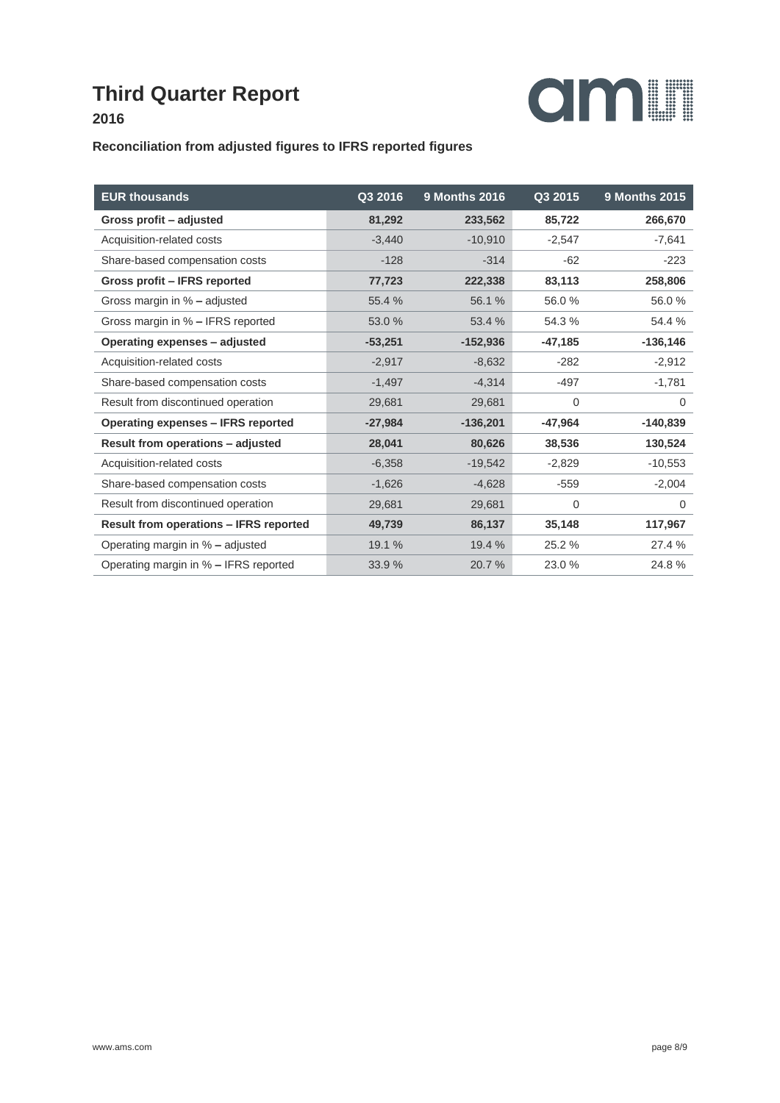

#### **Reconciliation from adjusted figures to IFRS reported figures**

| <b>EUR thousands</b>                          | Q3 2016   | <b>9 Months 2016</b> | Q3 2015   | <b>9 Months 2015</b> |
|-----------------------------------------------|-----------|----------------------|-----------|----------------------|
| Gross profit - adjusted                       | 81,292    | 233,562              | 85,722    | 266,670              |
| Acquisition-related costs                     | $-3,440$  | $-10,910$            | $-2,547$  | $-7,641$             |
| Share-based compensation costs                | $-128$    | $-314$               | $-62$     | $-223$               |
| Gross profit - IFRS reported                  | 77,723    | 222,338              | 83,113    | 258,806              |
| Gross margin in % - adjusted                  | 55.4 %    | 56.1 %               | 56.0%     | 56.0%                |
| Gross margin in % - IFRS reported             | 53.0 %    | 53.4 %               | 54.3 %    | 54.4 %               |
| Operating expenses - adjusted                 | $-53,251$ | $-152,936$           | $-47,185$ | $-136, 146$          |
| Acquisition-related costs                     | $-2,917$  | $-8,632$             | $-282$    | $-2,912$             |
| Share-based compensation costs                | $-1,497$  | $-4,314$             | $-497$    | $-1,781$             |
| Result from discontinued operation            | 29,681    | 29,681               | 0         | 0                    |
| <b>Operating expenses - IFRS reported</b>     | $-27,984$ | $-136,201$           | $-47,964$ | $-140,839$           |
| <b>Result from operations - adjusted</b>      | 28,041    | 80,626               | 38,536    | 130,524              |
| Acquisition-related costs                     | $-6,358$  | $-19,542$            | $-2,829$  | $-10,553$            |
| Share-based compensation costs                | $-1,626$  | $-4,628$             | $-559$    | $-2,004$             |
| Result from discontinued operation            | 29,681    | 29,681               | 0         | 0                    |
| <b>Result from operations - IFRS reported</b> | 49,739    | 86,137               | 35,148    | 117,967              |
| Operating margin in % - adjusted              | 19.1 %    | 19.4 %               | 25.2 %    | 27.4 %               |
| Operating margin in % - IFRS reported         | 33.9 %    | 20.7 %               | 23.0%     | 24.8%                |